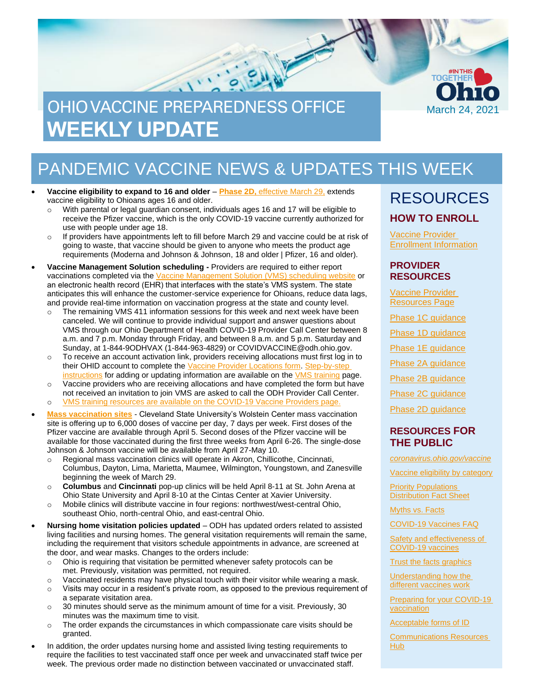

# PANDEMIC VACCINE NEWS & UPDATES THIS WEEK

- **Vaccine eligibility to expand to 16 and older Phase 2D,** [effective March 29,](https://odh.ohio.gov/static/covid19/vaccine-providers/provider-info-phase-2d.pdf) extends vaccine eligibility to Ohioans ages 16 and older.
	- $\circ$  With parental or legal guardian consent, individuals ages 16 and 17 will be eligible to receive the Pfizer vaccine, which is the only COVID-19 vaccine currently authorized for use with people under age 18.
	- If providers have appointments left to fill before March 29 and vaccine could be at risk of going to waste, that vaccine should be given to anyone who meets the product age requirements (Moderna and Johnson & Johnson, 18 and older | Pfizer, 16 and older).
- **Vaccine Management Solution scheduling -** Providers are required to either report vaccinations completed via the [Vaccine Management Solution \(VMS\) scheduling website](https://gettheshot.coronavirus.ohio.gov/) or an electronic health record (EHR) that interfaces with the state's VMS system. The state anticipates this will enhance the customer-service experience for Ohioans, reduce data lags, and provide real-time information on vaccination progress at the state and county level.
	- $\circ$  The remaining VMS 411 information sessions for this week and next week have been canceled. We will continue to provide individual support and answer questions about VMS through our Ohio Department of Health COVID-19 Provider Call Center between 8 a.m. and 7 p.m. Monday through Friday, and between 8 a.m. and 5 p.m. Saturday and Sunday, at 1-844-9ODHVAX (1-844-963-4829) or COVIDVACCINE@odh.ohio.gov.
	- $\circ$  To receive an account activation link, providers receiving allocations must first log in to their OHID account to complete the [Vaccine Provider](https://ohid.ohio.gov/wps/myportal/gov/covidvac/locations/vaccine-administration) Locations form[. Step-by-step](https://odh.ohio.gov/static/covid19/vaccine-providers/vaccine-provider-locations-guide-for-providers.pdf)  [instructions](https://odh.ohio.gov/static/covid19/vaccine-providers/vaccine-provider-locations-guide-for-providers.pdf) for adding or updating information are available on the [VMS training](https://odh.ohio.gov/wps/portal/gov/odh/know-our-programs/covid-19-vaccine-provider/vms-training) page.
	- o Vaccine providers who are receiving allocations and have completed the form but have not received an invitation to join VMS are asked to call the ODH Provider Call Center. o [VMS training resources are available on the COVID-19 Vaccine Providers page.](https://odh.ohio.gov/wps/portal/gov/odh/know-our-programs/covid-19-vaccine-provider/vms-training)
- **[Mass vaccination sites](https://coronavirus.ohio.gov/wps/portal/gov/covid-19/covid-19-vaccination-program/resources/covid-19-mass-vaccination-clinics)** Cleveland State University's Wolstein Center mass vaccination site is offering up to 6,000 doses of vaccine per day, 7 days per week. First doses of the
- Pfizer vaccine are available through April 5. Second doses of the Pfizer vaccine will be available for those vaccinated during the first three weeks from April 6-26. The single-dose Johnson & Johnson vaccine will be available from April 27-May 10.
- o Regional mass vaccination clinics will operate in Akron, Chillicothe, Cincinnati, Columbus, Dayton, Lima, Marietta, Maumee, Wilmington, Youngstown, and Zanesville beginning the week of March 29.
- o **Columbus** and **Cincinnati** pop-up clinics will be held April 8-11 at St. John Arena at Ohio State University and April 8-10 at the Cintas Center at Xavier University.
- o Mobile clinics will distribute vaccine in four regions: northwest/west-central Ohio, southeast Ohio, north-central Ohio, and east-central Ohio.
- **Nursing home visitation policies updated** ODH has updated orders related to assisted living facilities and nursing homes. The general visitation requirements will remain the same, including the requirement that visitors schedule appointments in advance, are screened at the door, and wear masks. Changes to the orders include:
	- o Ohio is requiring that visitation be permitted whenever safety protocols can be met. Previously, visitation was permitted, not required.
	- $\circ$  Vaccinated residents may have physical touch with their visitor while wearing a mask.
	- o Visits may occur in a resident's private room, as opposed to the previous requirement of a separate visitation area.
	- $\circ$  30 minutes should serve as the minimum amount of time for a visit. Previously, 30 minutes was the maximum time to visit.
	- $\circ$  The order expands the circumstances in which compassionate care visits should be granted.
- In addition, the order updates nursing home and assisted living testing requirements to require the facilities to test vaccinated staff once per week and unvaccinated staff twice per week. The previous order made no distinction between vaccinated or unvaccinated staff.

### RESOURCES **HOW TO ENROLL**

[Vaccine Provider](https://odh.ohio.gov/wps/portal/gov/odh/know-our-programs/immunization/pandemic-vaccine-provider/ohio-covid-19-provider-enrollment)  [Enrollment Information](https://odh.ohio.gov/wps/portal/gov/odh/know-our-programs/immunization/pandemic-vaccine-provider/ohio-covid-19-provider-enrollment)

#### **PROVIDER RESOURCES**

[Vaccine Provider](https://odh.ohio.gov/wps/portal/gov/odh/know-our-programs/covid-19-vaccine-provider/latest-resources/latest-resources)  [Resources](https://odh.ohio.gov/wps/portal/gov/odh/know-our-programs/covid-19-vaccine-provider/latest-resources/latest-resources) Page

Phase 1C quidance

[Phase 1D guidance](https://odh.ohio.gov/static/covid19/vaccine-providers/provider-info-phase-1d.pdf)

[Phase 1E guidance](https://odh.ohio.gov/static/covid19/vaccine-providers/provider-info-phase-1e.pdf)

[Phase 2A](https://odh.ohio.gov/static/covid19/vaccine-providers/provider-info-phase-2a.pdf) guidance

[Phase 2B guidance](https://odh.ohio.gov/static/covid19/vaccine-providers/provider-info-phase-2b.pdf)

[Phase 2C guidance](https://odh.ohio.gov/static/covid19/vaccine-providers/provider-info-phase-2c.pdf)

[Phase 2D guidance](https://odh.ohio.gov/static/covid19/vaccine-providers/provider-info-phase-2d.pdf)

### **RESOURCES FOR THE PUBLIC**

*[coronavirus.ohio.gov/vaccine](https://coronavirus.ohio.gov/vaccine)*

[Vaccine eligibility by category](https://coronavirus.ohio.gov/static/vaccine/vaccine-eligibility-listvaccine-eligibility-list.pdf) 

[Priority Populations](https://coronavirus.ohio.gov/static/vaccine/general_fact_sheet.pdf)  [Distribution Fact Sheet](https://coronavirus.ohio.gov/static/vaccine/general_fact_sheet.pdf)

[Myths vs. Facts](https://coronavirus.ohio.gov/wps/portal/gov/covid-19/covid-19-vaccination-program/19-vaccine-myths-vs-facts/19-vaccine-myths-vs-facts)

[COVID-19 Vaccines FAQ](https://coronavirus.ohio.gov/wps/portal/gov/covid-19/resources/general-resources/frequently-asked-questions+covid-19-vaccine)

Safety and effectiveness of [COVID-19 vaccines](https://coronavirus.ohio.gov/static/vaccine/covid-19-vaccine-safety.pdf)

[Trust the facts graphics](https://coronavirus.ohio.gov/static/vaccine/trust_the_facts_full.jpg)

[Understanding how the](https://coronavirus.ohio.gov/static/vaccine/covid-19-how-vaccines-work.pdf)  [different vaccines work](https://coronavirus.ohio.gov/static/vaccine/covid-19-how-vaccines-work.pdf)

[Preparing for your COVID-19](https://coronavirus.ohio.gov/static/vaccine/covid-19-fact-sheet-vaccine-appointment.pdf)  [vaccination](https://coronavirus.ohio.gov/static/vaccine/covid-19-fact-sheet-vaccine-appointment.pdf)

[Acceptable forms of ID](https://coronavirus.ohio.gov/static/vaccine/covid-19-fact-sheet-forms-of-id.pdf)

[Communications Resources](https://coronavirus.ohio.gov/wps/portal/gov/covid-19/health-equity/communications-resources-hub/communications-resources-hub)  [Hub](https://coronavirus.ohio.gov/wps/portal/gov/covid-19/health-equity/communications-resources-hub/communications-resources-hub)